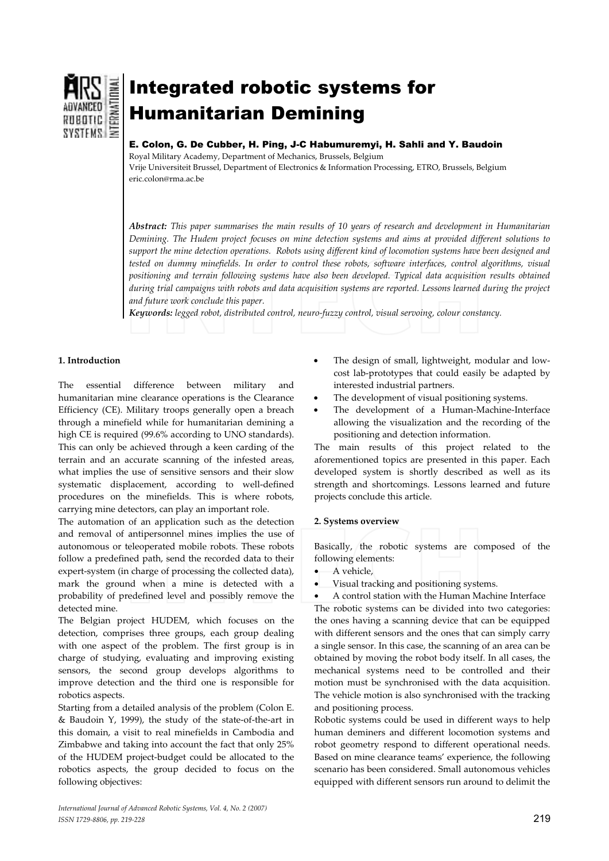

# Integrated robotic systems for Humanitarian Demining

# E. Colon, G. De Cubber, H. Ping, J-C Habumuremyi, H. Sahli and Y. Baudoin

Royal Military Academy, Department of Mechanics, Brussels, Belgium Vrije Universiteit Brussel, Department of Electronics & Information Processing, ETRO, Brussels, Belgium eric.colon@rma.ac.be

*Abstract: This paper summarises the main results of 10 years of research and development in Humanitarian Demining. The Hudem project focuses on mine detection systems and aims at provided different solutions to support the mine detection operations. Robots using different kind of locomotion systems have been designed and*  tested on dummy minefields. In order to control these robots, software interfaces, control algorithms, visual *positioning and terrain following systems have also been developed. Typical data acquisition results obtained during trial campaigns with robots and data acquisition systems are reported. Lessons learned during the project and future work conclude this paper.* 

*Keywords: legged robot, distributed control, neuro-fuzzy control, visual servoing, colour constancy.* 

# **1. Introduction**

The essential difference between military and humanitarian mine clearance operations is the Clearance Efficiency (CE). Military troops generally open a breach through a minefield while for humanitarian demining a high CE is required (99.6% according to UNO standards). This can only be achieved through a keen carding of the terrain and an accurate scanning of the infested areas, what implies the use of sensitive sensors and their slow systematic displacement, according to well-defined procedures on the minefields. This is where robots, carrying mine detectors, can play an important role.

The automation of an application such as the detection and removal of antipersonnel mines implies the use of autonomous or teleoperated mobile robots. These robots follow a predefined path, send the recorded data to their expert-system (in charge of processing the collected data), mark the ground when a mine is detected with a probability of predefined level and possibly remove the detected mine.

The Belgian project HUDEM, which focuses on the detection, comprises three groups, each group dealing with one aspect of the problem. The first group is in charge of studying, evaluating and improving existing sensors, the second group develops algorithms to improve detection and the third one is responsible for robotics aspects.

Starting from a detailed analysis of the problem (Colon E. & Baudoin Y, 1999), the study of the state-of-the-art in this domain, a visit to real minefields in Cambodia and Zimbabwe and taking into account the fact that only 25% of the HUDEM project-budget could be allocated to the robotics aspects, the group decided to focus on the following objectives:

- The design of small, lightweight, modular and lowcost lab-prototypes that could easily be adapted by interested industrial partners.
- The development of visual positioning systems.
- The development of a Human-Machine-Interface allowing the visualization and the recording of the positioning and detection information.

The main results of this project related to the aforementioned topics are presented in this paper. Each developed system is shortly described as well as its strength and shortcomings. Lessons learned and future projects conclude this article.

#### **2. Systems overview**

Basically, the robotic systems are composed of the following elements:

A vehicle,

• Visual tracking and positioning systems.

• A control station with the Human Machine Interface The robotic systems can be divided into two categories: the ones having a scanning device that can be equipped with different sensors and the ones that can simply carry a single sensor. In this case, the scanning of an area can be obtained by moving the robot body itself. In all cases, the mechanical systems need to be controlled and their motion must be synchronised with the data acquisition. The vehicle motion is also synchronised with the tracking and positioning process.

Robotic systems could be used in different ways to help human deminers and different locomotion systems and robot geometry respond to different operational needs. Based on mine clearance teams' experience, the following scenario has been considered. Small autonomous vehicles equipped with different sensors run around to delimit the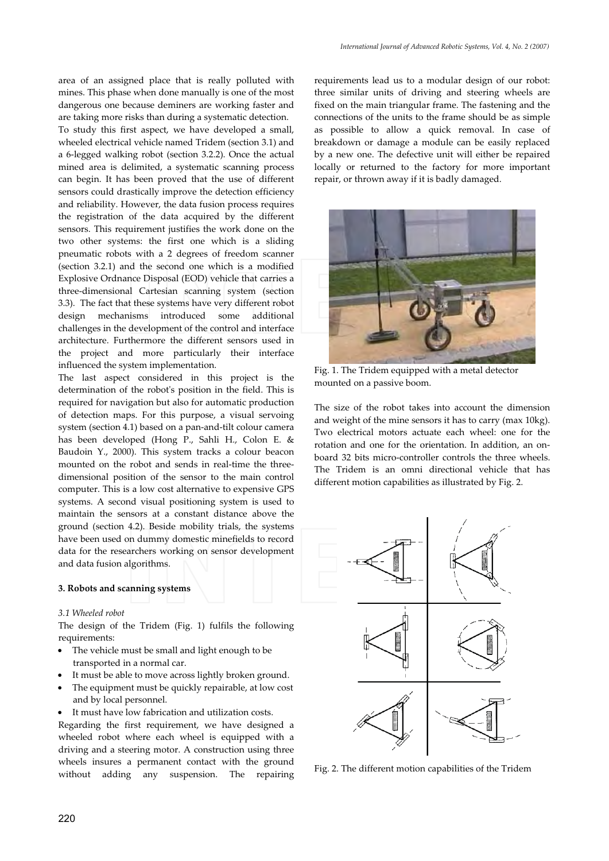area of an assigned place that is really polluted with mines. This phase when done manually is one of the most dangerous one because deminers are working faster and are taking more risks than during a systematic detection.

To study this first aspect, we have developed a small, wheeled electrical vehicle named Tridem (section 3.1) and a 6-legged walking robot (section 3.2.2). Once the actual mined area is delimited, a systematic scanning process can begin. It has been proved that the use of different sensors could drastically improve the detection efficiency and reliability. However, the data fusion process requires the registration of the data acquired by the different sensors. This requirement justifies the work done on the two other systems: the first one which is a sliding pneumatic robots with a 2 degrees of freedom scanner (section 3.2.1) and the second one which is a modified Explosive Ordnance Disposal (EOD) vehicle that carries a three-dimensional Cartesian scanning system (section 3.3). The fact that these systems have very different robot design mechanisms introduced some additional challenges in the development of the control and interface architecture. Furthermore the different sensors used in the project and more particularly their interface influenced the system implementation.

The last aspect considered in this project is the determination of the robot's position in the field. This is required for navigation but also for automatic production of detection maps. For this purpose, a visual servoing system (section 4.1) based on a pan-and-tilt colour camera has been developed (Hong P., Sahli H., Colon E. & Baudoin Y., 2000). This system tracks a colour beacon mounted on the robot and sends in real-time the threedimensional position of the sensor to the main control computer. This is a low cost alternative to expensive GPS systems. A second visual positioning system is used to maintain the sensors at a constant distance above the ground (section 4.2). Beside mobility trials, the systems have been used on dummy domestic minefields to record data for the researchers working on sensor development and data fusion algorithms.

#### **3. Robots and scanning systems**

#### *3.1 Wheeled robot*

The design of the Tridem (Fig. 1) fulfils the following requirements:

- The vehicle must be small and light enough to be transported in a normal car.
- It must be able to move across lightly broken ground.
- The equipment must be quickly repairable, at low cost and by local personnel.
- It must have low fabrication and utilization costs.

Regarding the first requirement, we have designed a wheeled robot where each wheel is equipped with a driving and a steering motor. A construction using three wheels insures a permanent contact with the ground without adding any suspension. The repairing

requirements lead us to a modular design of our robot: three similar units of driving and steering wheels are fixed on the main triangular frame. The fastening and the connections of the units to the frame should be as simple as possible to allow a quick removal. In case of breakdown or damage a module can be easily replaced by a new one. The defective unit will either be repaired locally or returned to the factory for more important repair, or thrown away if it is badly damaged.



Fig. 1. The Tridem equipped with a metal detector mounted on a passive boom.

The size of the robot takes into account the dimension and weight of the mine sensors it has to carry (max 10kg). Two electrical motors actuate each wheel: one for the rotation and one for the orientation. In addition, an onboard 32 bits micro-controller controls the three wheels. The Tridem is an omni directional vehicle that has different motion capabilities as illustrated by Fig. 2.



Fig. 2. The different motion capabilities of the Tridem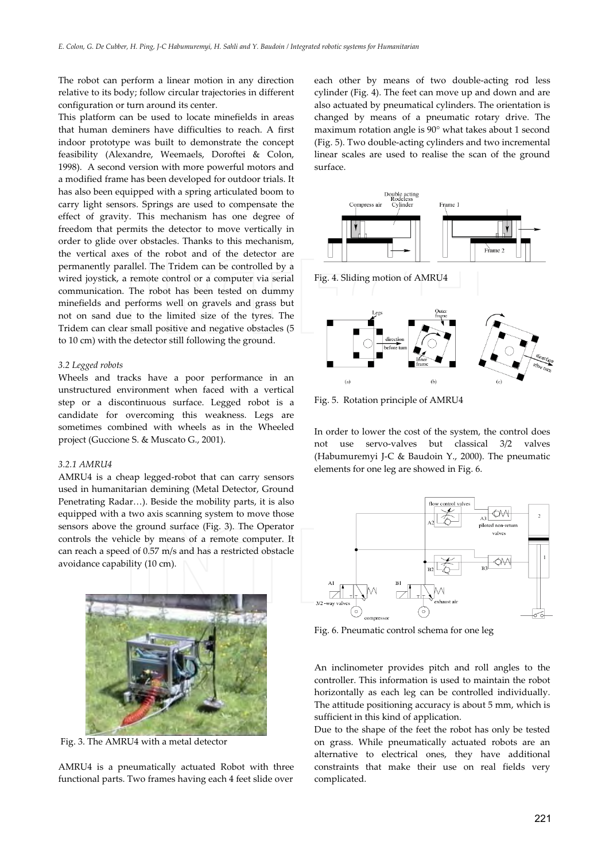The robot can perform a linear motion in any direction relative to its body; follow circular trajectories in different configuration or turn around its center.

This platform can be used to locate minefields in areas that human deminers have difficulties to reach. A first indoor prototype was built to demonstrate the concept feasibility (Alexandre, Weemaels, Doroftei & Colon, 1998). A second version with more powerful motors and a modified frame has been developed for outdoor trials. It has also been equipped with a spring articulated boom to carry light sensors. Springs are used to compensate the effect of gravity. This mechanism has one degree of freedom that permits the detector to move vertically in order to glide over obstacles. Thanks to this mechanism, the vertical axes of the robot and of the detector are permanently parallel. The Tridem can be controlled by a wired joystick, a remote control or a computer via serial communication. The robot has been tested on dummy minefields and performs well on gravels and grass but not on sand due to the limited size of the tyres. The Tridem can clear small positive and negative obstacles (5 to 10 cm) with the detector still following the ground.

#### *3.2 Legged robots*

Wheels and tracks have a poor performance in an unstructured environment when faced with a vertical step or a discontinuous surface. Legged robot is a candidate for overcoming this weakness. Legs are sometimes combined with wheels as in the Wheeled project (Guccione S. & Muscato G., 2001).

#### *3.2.1 AMRU4*

AMRU4 is a cheap legged-robot that can carry sensors used in humanitarian demining (Metal Detector, Ground Penetrating Radar…). Beside the mobility parts, it is also equipped with a two axis scanning system to move those sensors above the ground surface (Fig. 3). The Operator controls the vehicle by means of a remote computer. It can reach a speed of 0.57 m/s and has a restricted obstacle avoidance capability (10 cm).



Fig. 3. The AMRU4 with a metal detector

AMRU4 is a pneumatically actuated Robot with three functional parts. Two frames having each 4 feet slide over each other by means of two double-acting rod less cylinder (Fig. 4). The feet can move up and down and are also actuated by pneumatical cylinders. The orientation is changed by means of a pneumatic rotary drive. The maximum rotation angle is 90° what takes about 1 second (Fig. 5). Two double-acting cylinders and two incremental linear scales are used to realise the scan of the ground surface.



Fig. 4. Sliding motion of AMRU4



Fig. 5. Rotation principle of AMRU4

In order to lower the cost of the system, the control does not use servo-valves but classical 3/2 valves (Habumuremyi J-C & Baudoin Y., 2000). The pneumatic elements for one leg are showed in Fig. 6.



Fig. 6. Pneumatic control schema for one leg

An inclinometer provides pitch and roll angles to the controller. This information is used to maintain the robot horizontally as each leg can be controlled individually. The attitude positioning accuracy is about 5 mm, which is sufficient in this kind of application.

Due to the shape of the feet the robot has only be tested on grass. While pneumatically actuated robots are an alternative to electrical ones, they have additional constraints that make their use on real fields very complicated.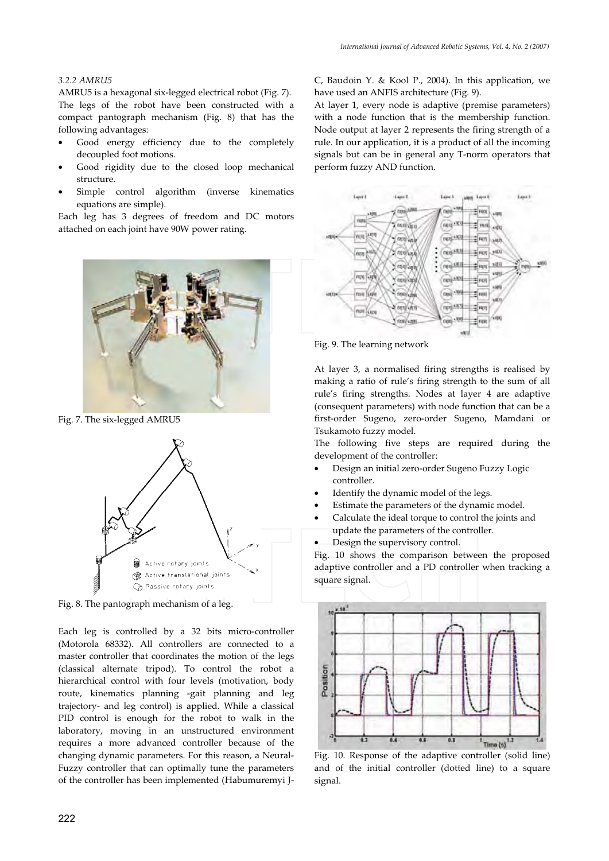#### *3.2.2 AMRU5*

AMRU5 is a hexagonal six-legged electrical robot (Fig. 7). The legs of the robot have been constructed with a compact pantograph mechanism (Fig. 8) that has the following advantages:

- Good energy efficiency due to the completely decoupled foot motions.
- Good rigidity due to the closed loop mechanical structure.
- Simple control algorithm (inverse kinematics equations are simple).

Each leg has 3 degrees of freedom and DC motors attached on each joint have 90W power rating.



Fig. 7. The six-legged AMRU5



Fig. 8. The pantograph mechanism of a leg.

Each leg is controlled by a 32 bits micro-controller (Motorola 68332). All controllers are connected to a master controller that coordinates the motion of the legs (classical alternate tripod). To control the robot a hierarchical control with four levels (motivation, body route, kinematics planning -gait planning and leg trajectory- and leg control) is applied. While a classical PID control is enough for the robot to walk in the laboratory, moving in an unstructured environment requires a more advanced controller because of the changing dynamic parameters. For this reason, a Neural-Fuzzy controller that can optimally tune the parameters of the controller has been implemented (Habumuremyi J-

C, Baudoin Y. & Kool P., 2004). In this application, we have used an ANFIS architecture (Fig. 9).

At layer 1, every node is adaptive (premise parameters) with a node function that is the membership function. Node output at layer 2 represents the firing strength of a rule. In our application, it is a product of all the incoming signals but can be in general any T-norm operators that perform fuzzy AND function.



Fig. 9. The learning network

At layer 3, a normalised firing strengths is realised by making a ratio of rule's firing strength to the sum of all rule's firing strengths. Nodes at layer 4 are adaptive (consequent parameters) with node function that can be a first-order Sugeno, zero-order Sugeno, Mamdani or Tsukamoto fuzzy model.

The following five steps are required during the development of the controller:

- Design an initial zero-order Sugeno Fuzzy Logic controller.
- Identify the dynamic model of the legs.
- Estimate the parameters of the dynamic model.
- Calculate the ideal torque to control the joints and update the parameters of the controller.
- Design the supervisory control.

Fig. 10 shows the comparison between the proposed adaptive controller and a PD controller when tracking a square signal.



Fig. 10. Response of the adaptive controller (solid line) and of the initial controller (dotted line) to a square signal.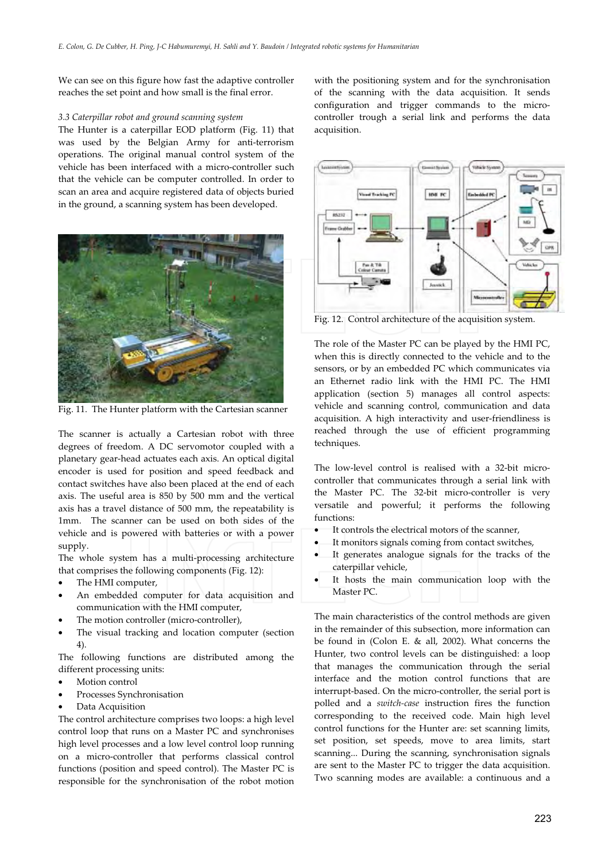We can see on this figure how fast the adaptive controller reaches the set point and how small is the final error.

#### *3.3 Caterpillar robot and ground scanning system*

The Hunter is a caterpillar EOD platform (Fig. 11) that was used by the Belgian Army for anti-terrorism operations. The original manual control system of the vehicle has been interfaced with a micro-controller such that the vehicle can be computer controlled. In order to scan an area and acquire registered data of objects buried in the ground, a scanning system has been developed.



Fig. 11. The Hunter platform with the Cartesian scanner

The scanner is actually a Cartesian robot with three degrees of freedom. A DC servomotor coupled with a planetary gear-head actuates each axis. An optical digital encoder is used for position and speed feedback and contact switches have also been placed at the end of each axis. The useful area is 850 by 500 mm and the vertical axis has a travel distance of 500 mm, the repeatability is 1mm. The scanner can be used on both sides of the vehicle and is powered with batteries or with a power supply.

The whole system has a multi-processing architecture that comprises the following components (Fig. 12):

- The HMI computer,
- An embedded computer for data acquisition and communication with the HMI computer,
- The motion controller (micro-controller),
- The visual tracking and location computer (section 4).

The following functions are distributed among the different processing units:

- Motion control
- Processes Synchronisation
- Data Acquisition

The control architecture comprises two loops: a high level control loop that runs on a Master PC and synchronises high level processes and a low level control loop running on a micro-controller that performs classical control functions (position and speed control). The Master PC is responsible for the synchronisation of the robot motion with the positioning system and for the synchronisation of the scanning with the data acquisition. It sends configuration and trigger commands to the microcontroller trough a serial link and performs the data acquisition.



Fig. 12. Control architecture of the acquisition system.

The role of the Master PC can be played by the HMI PC, when this is directly connected to the vehicle and to the sensors, or by an embedded PC which communicates via an Ethernet radio link with the HMI PC. The HMI application (section 5) manages all control aspects: vehicle and scanning control, communication and data acquisition. A high interactivity and user-friendliness is reached through the use of efficient programming techniques.

The low-level control is realised with a 32-bit microcontroller that communicates through a serial link with the Master PC. The 32-bit micro-controller is very versatile and powerful; it performs the following functions:

- It controls the electrical motors of the scanner,
- It monitors signals coming from contact switches,
- It generates analogue signals for the tracks of the caterpillar vehicle,
- It hosts the main communication loop with the Master PC.

The main characteristics of the control methods are given in the remainder of this subsection, more information can be found in (Colon E. & all, 2002). What concerns the Hunter, two control levels can be distinguished: a loop that manages the communication through the serial interface and the motion control functions that are interrupt-based. On the micro-controller, the serial port is polled and a *switch-case* instruction fires the function corresponding to the received code. Main high level control functions for the Hunter are: set scanning limits, set position, set speeds, move to area limits, start scanning... During the scanning, synchronisation signals are sent to the Master PC to trigger the data acquisition. Two scanning modes are available: a continuous and a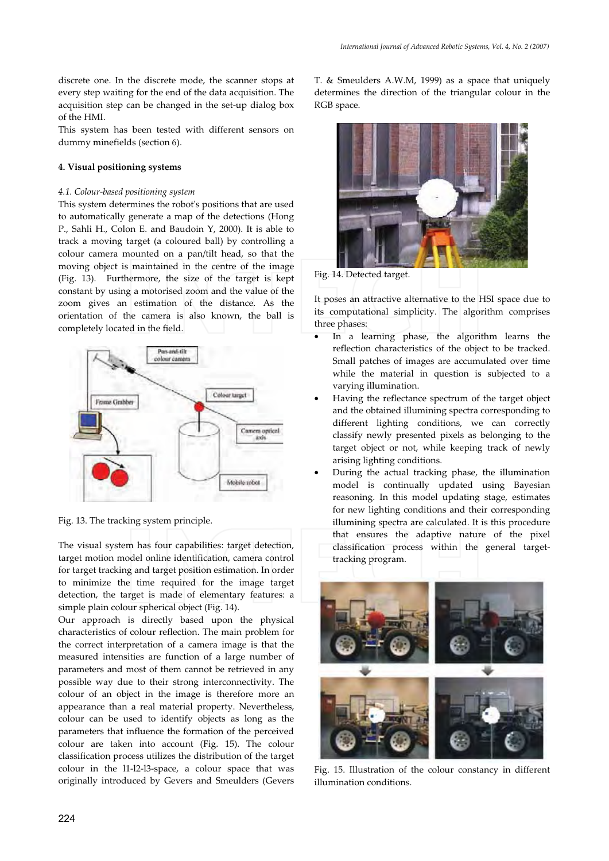discrete one. In the discrete mode, the scanner stops at every step waiting for the end of the data acquisition. The acquisition step can be changed in the set-up dialog box of the HMI.

This system has been tested with different sensors on dummy minefields (section 6).

### **4. Visual positioning systems**

#### *4.1. Colour-based positioning system*

This system determines the robot's positions that are used to automatically generate a map of the detections (Hong P., Sahli H., Colon E. and Baudoin Y, 2000). It is able to track a moving target (a coloured ball) by controlling a colour camera mounted on a pan/tilt head, so that the moving object is maintained in the centre of the image (Fig. 13). Furthermore, the size of the target is kept constant by using a motorised zoom and the value of the zoom gives an estimation of the distance. As the orientation of the camera is also known, the ball is completely located in the field.



Fig. 13. The tracking system principle.

The visual system has four capabilities: target detection, target motion model online identification, camera control for target tracking and target position estimation. In order to minimize the time required for the image target detection, the target is made of elementary features: a simple plain colour spherical object (Fig. 14).

Our approach is directly based upon the physical characteristics of colour reflection. The main problem for the correct interpretation of a camera image is that the measured intensities are function of a large number of parameters and most of them cannot be retrieved in any possible way due to their strong interconnectivity. The colour of an object in the image is therefore more an appearance than a real material property. Nevertheless, colour can be used to identify objects as long as the parameters that influence the formation of the perceived colour are taken into account (Fig. 15). The colour classification process utilizes the distribution of the target colour in the l1-l2-l3-space, a colour space that was originally introduced by Gevers and Smeulders (Gevers

T. & Smeulders A.W.M, 1999) as a space that uniquely determines the direction of the triangular colour in the RGB space.



Fig. 14. Detected target.

It poses an attractive alternative to the HSI space due to its computational simplicity. The algorithm comprises three phases:

- In a learning phase, the algorithm learns the reflection characteristics of the object to be tracked. Small patches of images are accumulated over time while the material in question is subjected to a varying illumination.
- Having the reflectance spectrum of the target object and the obtained illumining spectra corresponding to different lighting conditions, we can correctly classify newly presented pixels as belonging to the target object or not, while keeping track of newly arising lighting conditions.
- During the actual tracking phase, the illumination model is continually updated using Bayesian reasoning. In this model updating stage, estimates for new lighting conditions and their corresponding illumining spectra are calculated. It is this procedure that ensures the adaptive nature of the pixel classification process within the general targettracking program.



Fig. 15. Illustration of the colour constancy in different illumination conditions.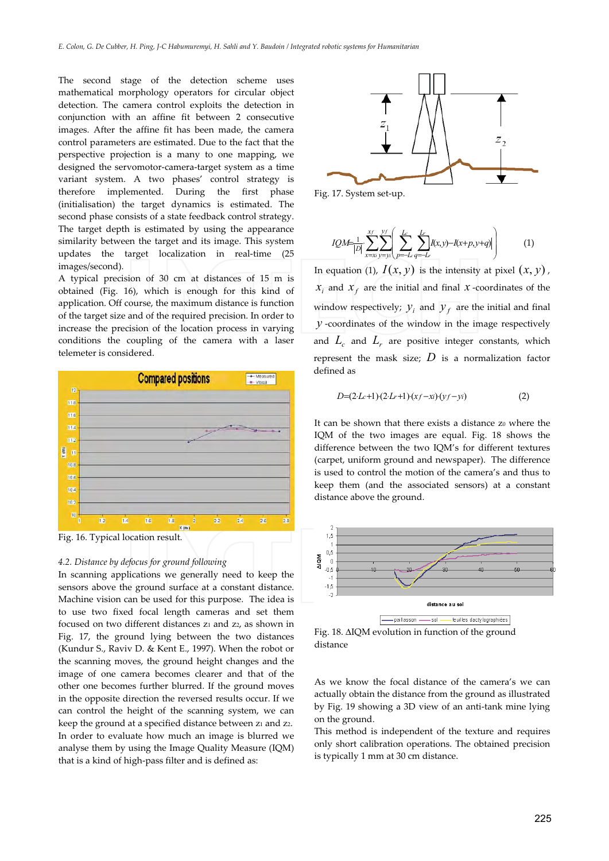The second stage of the detection scheme uses mathematical morphology operators for circular object detection. The camera control exploits the detection in conjunction with an affine fit between 2 consecutive images. After the affine fit has been made, the camera control parameters are estimated. Due to the fact that the perspective projection is a many to one mapping, we designed the servomotor-camera-target system as a time variant system. A two phases' control strategy is therefore implemented. During the first phase (initialisation) the target dynamics is estimated. The second phase consists of a state feedback control strategy. The target depth is estimated by using the appearance similarity between the target and its image. This system updates the target localization in real-time (25 images/second).

A typical precision of 30 cm at distances of 15 m is obtained (Fig. 16), which is enough for this kind of application. Off course, the maximum distance is function of the target size and of the required precision. In order to increase the precision of the location process in varying conditions the coupling of the camera with a laser telemeter is considered.



Fig. 16. Typical location result.

#### *4.2. Distance by defocus for ground following*

In scanning applications we generally need to keep the sensors above the ground surface at a constant distance. Machine vision can be used for this purpose. The idea is to use two fixed focal length cameras and set them focused on two different distances z<sub>1</sub> and z<sub>2</sub>, as shown in Fig. 17, the ground lying between the two distances (Kundur S., Raviv D. & Kent E., 1997). When the robot or the scanning moves, the ground height changes and the image of one camera becomes clearer and that of the other one becomes further blurred. If the ground moves in the opposite direction the reversed results occur. If we can control the height of the scanning system, we can keep the ground at a specified distance between  $z_1$  and  $z_2$ . In order to evaluate how much an image is blurred we analyse them by using the Image Quality Measure (IQM) that is a kind of high-pass filter and is defined as:



Fig. 17. System set-up.

$$
IQM = \frac{1}{|D|} \sum_{x=x}^{x} \sum_{y=y}^{y} \left( \sum_{p=-L}^{L} \sum_{q=-L}^{L} I(x,y) - I(x+p,y+q) \right) \tag{1}
$$

In equation (1),  $I(x, y)$  is the intensity at pixel  $(x, y)$ ,  $\dot{x}$  and  $\dot{x}$  are the initial and final *x* -coordinates of the window respectively;  $y_i$  and  $y_f$  are the initial and final *y* -coordinates of the window in the image respectively and  $L_c$  and  $L_r$  are positive integer constants, which represent the mask size;  $D$  is a normalization factor defined as

$$
D=(2 \cdot Lc+1) \cdot (2 \cdot Lr+1) \cdot (xf -xi) \cdot (yf -yi) \tag{2}
$$

It can be shown that there exists a distance  $z_0$  where the IQM of the two images are equal. Fig. 18 shows the difference between the two IQM's for different textures (carpet, uniform ground and newspaper). The difference is used to control the motion of the camera's and thus to keep them (and the associated sensors) at a constant distance above the ground.



Fig. 18. ΔIQM evolution in function of the ground distance

As we know the focal distance of the camera's we can actually obtain the distance from the ground as illustrated by Fig. 19 showing a 3D view of an anti-tank mine lying on the ground.

This method is independent of the texture and requires only short calibration operations. The obtained precision is typically 1 mm at 30 cm distance.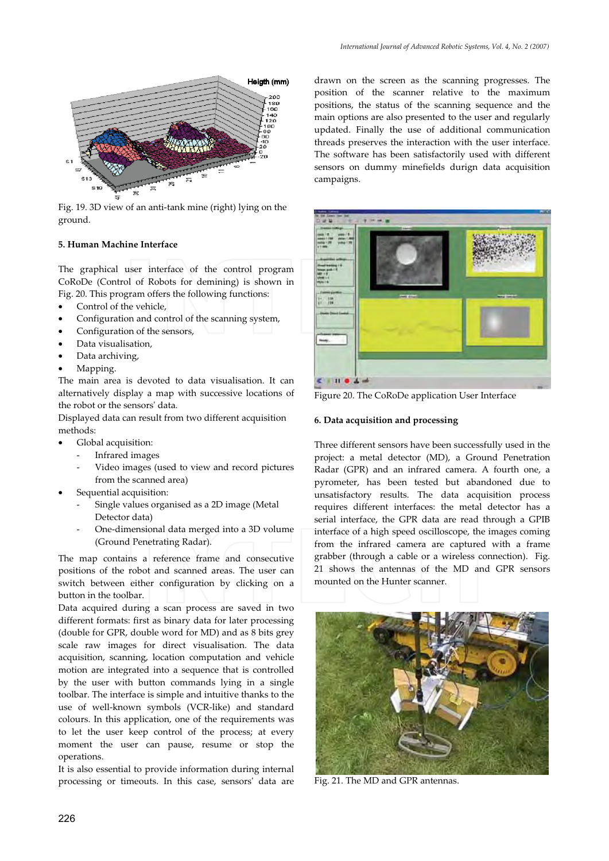

Fig. 19. 3D view of an anti-tank mine (right) lying on the ground.

# **5. Human Machine Interface**

The graphical user interface of the control program CoRoDe (Control of Robots for demining) is shown in Fig. 20. This program offers the following functions:

- Control of the vehicle,
- Configuration and control of the scanning system,
- Configuration of the sensors,
- Data visualisation,
- Data archiving,
- Mapping.

The main area is devoted to data visualisation. It can alternatively display a map with successive locations of the robot or the sensors' data.

Displayed data can result from two different acquisition methods:

- Global acquisition:
	- Infrared images
	- Video images (used to view and record pictures from the scanned area)
- Sequential acquisition:
	- Single values organised as a 2D image (Metal Detector data)
	- One-dimensional data merged into a 3D volume (Ground Penetrating Radar).

The map contains a reference frame and consecutive positions of the robot and scanned areas. The user can switch between either configuration by clicking on a button in the toolbar.

Data acquired during a scan process are saved in two different formats: first as binary data for later processing (double for GPR, double word for MD) and as 8 bits grey scale raw images for direct visualisation. The data acquisition, scanning, location computation and vehicle motion are integrated into a sequence that is controlled by the user with button commands lying in a single toolbar. The interface is simple and intuitive thanks to the use of well-known symbols (VCR-like) and standard colours. In this application, one of the requirements was to let the user keep control of the process; at every moment the user can pause, resume or stop the operations.

It is also essential to provide information during internal processing or timeouts. In this case, sensors' data are drawn on the screen as the scanning progresses. The position of the scanner relative to the maximum positions, the status of the scanning sequence and the main options are also presented to the user and regularly updated. Finally the use of additional communication threads preserves the interaction with the user interface. The software has been satisfactorily used with different sensors on dummy minefields durign data acquisition campaigns.



Figure 20. The CoRoDe application User Interface

# **6. Data acquisition and processing**

Three different sensors have been successfully used in the project: a metal detector (MD), a Ground Penetration Radar (GPR) and an infrared camera. A fourth one, a pyrometer, has been tested but abandoned due to unsatisfactory results. The data acquisition process requires different interfaces: the metal detector has a serial interface, the GPR data are read through a GPIB interface of a high speed oscilloscope, the images coming from the infrared camera are captured with a frame grabber (through a cable or a wireless connection). Fig. 21 shows the antennas of the MD and GPR sensors mounted on the Hunter scanner.



Fig. 21. The MD and GPR antennas.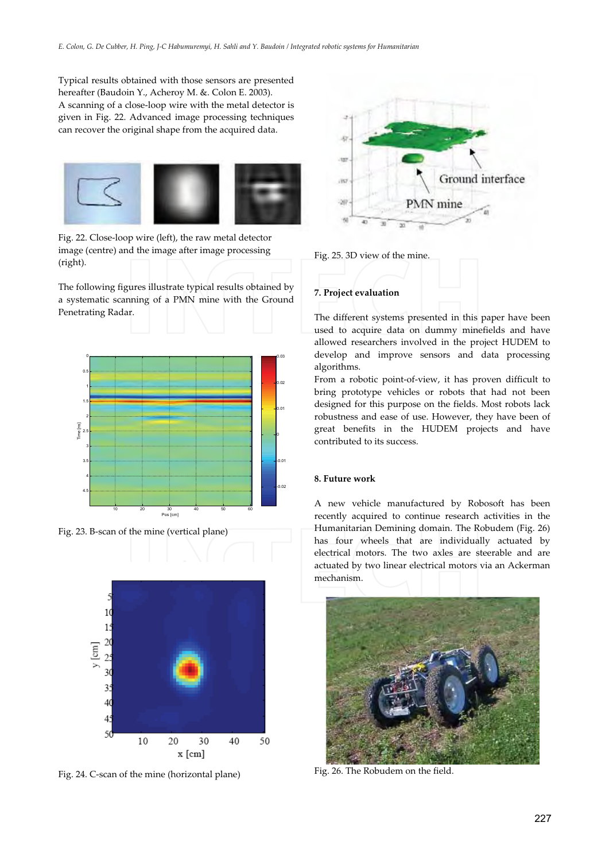Typical results obtained with those sensors are presented hereafter (Baudoin Y., Acheroy M. &. Colon E. 2003). A scanning of a close-loop wire with the metal detector is given in Fig. 22. Advanced image processing techniques can recover the original shape from the acquired data.



Fig. 22. Close-loop wire (left), the raw metal detector image (centre) and the image after image processing (right).

The following figures illustrate typical results obtained by a systematic scanning of a PMN mine with the Ground Penetrating Radar.



Fig. 23. B-scan of the mine (vertical plane)



Fig. 24. C-scan of the mine (horizontal plane)



Fig. 25. 3D view of the mine.

# **7. Project evaluation**

The different systems presented in this paper have been used to acquire data on dummy minefields and have allowed researchers involved in the project HUDEM to develop and improve sensors and data processing algorithms.

From a robotic point-of-view, it has proven difficult to bring prototype vehicles or robots that had not been designed for this purpose on the fields. Most robots lack robustness and ease of use. However, they have been of great benefits in the HUDEM projects and have contributed to its success.

#### **8. Future work**

A new vehicle manufactured by Robosoft has been recently acquired to continue research activities in the Humanitarian Demining domain. The Robudem (Fig. 26) has four wheels that are individually actuated by electrical motors. The two axles are steerable and are actuated by two linear electrical motors via an Ackerman mechanism.



Fig. 26. The Robudem on the field.